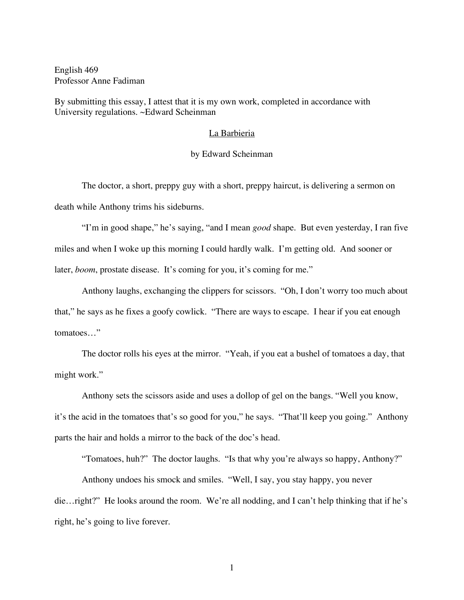English 469 Professor Anne Fadiman

By submitting this essay, I attest that it is my own work, completed in accordance with University regulations. ~Edward Scheinman

## La Barbieria

## by Edward Scheinman

The doctor, a short, preppy guy with a short, preppy haircut, is delivering a sermon on death while Anthony trims his sideburns.

"I'm in good shape," he's saying, "and I mean *good* shape. But even yesterday, I ran five miles and when I woke up this morning I could hardly walk. I'm getting old. And sooner or later, *boom*, prostate disease. It's coming for you, it's coming for me."

Anthony laughs, exchanging the clippers for scissors. "Oh, I don't worry too much about that," he says as he fixes a goofy cowlick. "There are ways to escape. I hear if you eat enough tomatoes…"

The doctor rolls his eyes at the mirror. "Yeah, if you eat a bushel of tomatoes a day, that might work."

Anthony sets the scissors aside and uses a dollop of gel on the bangs. "Well you know, it's the acid in the tomatoes that's so good for you," he says. "That'll keep you going." Anthony parts the hair and holds a mirror to the back of the doc's head.

"Tomatoes, huh?" The doctor laughs. "Is that why you're always so happy, Anthony?"

Anthony undoes his smock and smiles. "Well, I say, you stay happy, you never die…right?" He looks around the room. We're all nodding, and I can't help thinking that if he's right, he's going to live forever.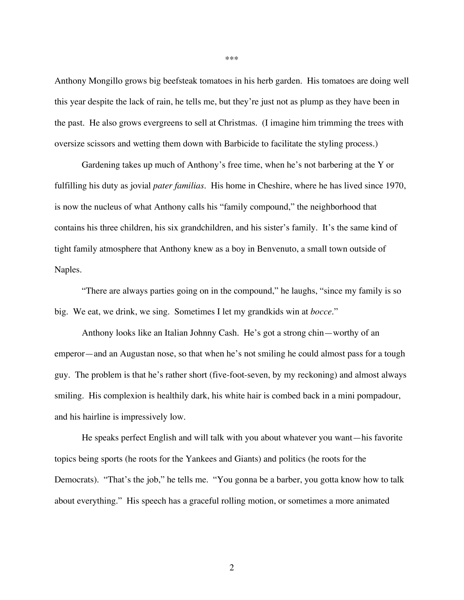Anthony Mongillo grows big beefsteak tomatoes in his herb garden. His tomatoes are doing well this year despite the lack of rain, he tells me, but they're just not as plump as they have been in the past. He also grows evergreens to sell at Christmas. (I imagine him trimming the trees with oversize scissors and wetting them down with Barbicide to facilitate the styling process.)

Gardening takes up much of Anthony's free time, when he's not barbering at the Y or fulfilling his duty as jovial *pater familias*. His home in Cheshire, where he has lived since 1970, is now the nucleus of what Anthony calls his "family compound," the neighborhood that contains his three children, his six grandchildren, and his sister's family. It's the same kind of tight family atmosphere that Anthony knew as a boy in Benvenuto, a small town outside of Naples.

"There are always parties going on in the compound," he laughs, "since my family is so big. We eat, we drink, we sing. Sometimes I let my grandkids win at *bocce*."

Anthony looks like an Italian Johnny Cash. He's got a strong chin—worthy of an emperor—and an Augustan nose, so that when he's not smiling he could almost pass for a tough guy. The problem is that he's rather short (five-foot-seven, by my reckoning) and almost always smiling. His complexion is healthily dark, his white hair is combed back in a mini pompadour, and his hairline is impressively low.

He speaks perfect English and will talk with you about whatever you want—his favorite topics being sports (he roots for the Yankees and Giants) and politics (he roots for the Democrats). "That's the job," he tells me. "You gonna be a barber, you gotta know how to talk about everything." His speech has a graceful rolling motion, or sometimes a more animated

\*\*\*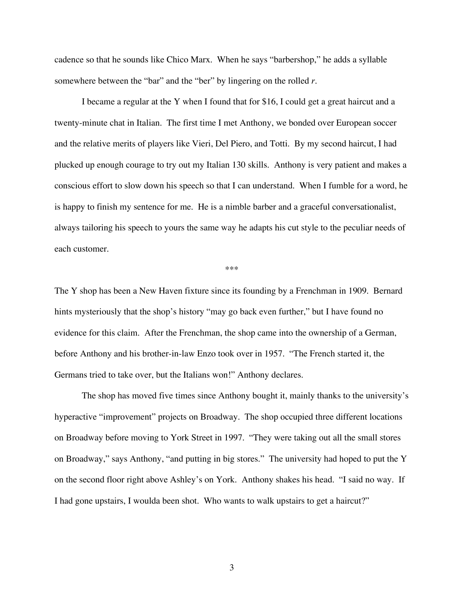cadence so that he sounds like Chico Marx. When he says "barbershop," he adds a syllable somewhere between the "bar" and the "ber" by lingering on the rolled *r*.

I became a regular at the Y when I found that for \$16, I could get a great haircut and a twenty-minute chat in Italian. The first time I met Anthony, we bonded over European soccer and the relative merits of players like Vieri, Del Piero, and Totti. By my second haircut, I had plucked up enough courage to try out my Italian 130 skills. Anthony is very patient and makes a conscious effort to slow down his speech so that I can understand. When I fumble for a word, he is happy to finish my sentence for me. He is a nimble barber and a graceful conversationalist, always tailoring his speech to yours the same way he adapts his cut style to the peculiar needs of each customer.

\*\*\*

The Y shop has been a New Haven fixture since its founding by a Frenchman in 1909. Bernard hints mysteriously that the shop's history "may go back even further," but I have found no evidence for this claim. After the Frenchman, the shop came into the ownership of a German, before Anthony and his brother-in-law Enzo took over in 1957. "The French started it, the Germans tried to take over, but the Italians won!" Anthony declares.

The shop has moved five times since Anthony bought it, mainly thanks to the university's hyperactive "improvement" projects on Broadway. The shop occupied three different locations on Broadway before moving to York Street in 1997. "They were taking out all the small stores on Broadway," says Anthony, "and putting in big stores." The university had hoped to put the Y on the second floor right above Ashley's on York. Anthony shakes his head. "I said no way. If I had gone upstairs, I woulda been shot. Who wants to walk upstairs to get a haircut?"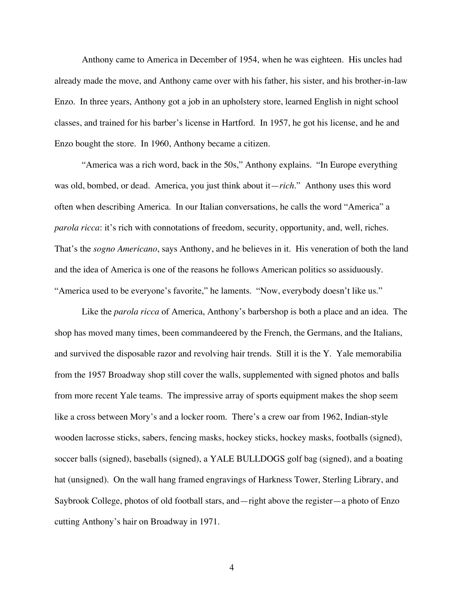Anthony came to America in December of 1954, when he was eighteen. His uncles had already made the move, and Anthony came over with his father, his sister, and his brother-in-law Enzo. In three years, Anthony got a job in an upholstery store, learned English in night school classes, and trained for his barber's license in Hartford. In 1957, he got his license, and he and Enzo bought the store. In 1960, Anthony became a citizen.

"America was a rich word, back in the 50s," Anthony explains. "In Europe everything was old, bombed, or dead. America, you just think about it—*rich*." Anthony uses this word often when describing America. In our Italian conversations, he calls the word "America" a *parola ricca*: it's rich with connotations of freedom, security, opportunity, and, well, riches. That's the *sogno Americano*, says Anthony, and he believes in it. His veneration of both the land and the idea of America is one of the reasons he follows American politics so assiduously. "America used to be everyone's favorite," he laments. "Now, everybody doesn't like us."

Like the *parola ricca* of America, Anthony's barbershop is both a place and an idea. The shop has moved many times, been commandeered by the French, the Germans, and the Italians, and survived the disposable razor and revolving hair trends. Still it is the Y. Yale memorabilia from the 1957 Broadway shop still cover the walls, supplemented with signed photos and balls from more recent Yale teams. The impressive array of sports equipment makes the shop seem like a cross between Mory's and a locker room. There's a crew oar from 1962, Indian-style wooden lacrosse sticks, sabers, fencing masks, hockey sticks, hockey masks, footballs (signed), soccer balls (signed), baseballs (signed), a YALE BULLDOGS golf bag (signed), and a boating hat (unsigned). On the wall hang framed engravings of Harkness Tower, Sterling Library, and Saybrook College, photos of old football stars, and—right above the register—a photo of Enzo cutting Anthony's hair on Broadway in 1971.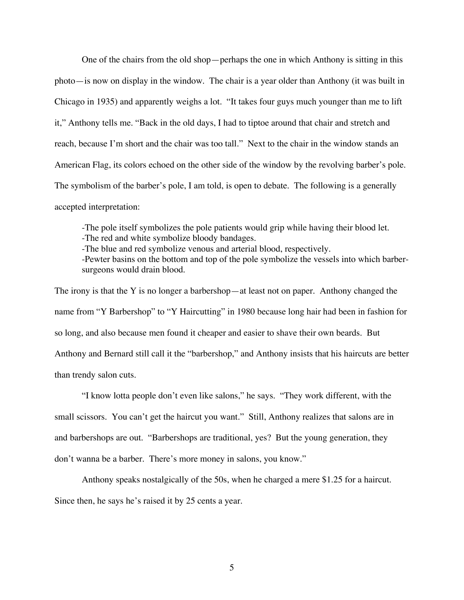One of the chairs from the old shop—perhaps the one in which Anthony is sitting in this photo—is now on display in the window. The chair is a year older than Anthony (it was built in Chicago in 1935) and apparently weighs a lot. "It takes four guys much younger than me to lift it," Anthony tells me. "Back in the old days, I had to tiptoe around that chair and stretch and reach, because I'm short and the chair was too tall." Next to the chair in the window stands an American Flag, its colors echoed on the other side of the window by the revolving barber's pole. The symbolism of the barber's pole, I am told, is open to debate. The following is a generally accepted interpretation:

-The pole itself symbolizes the pole patients would grip while having their blood let. -The red and white symbolize bloody bandages.

-The blue and red symbolize venous and arterial blood, respectively.

-Pewter basins on the bottom and top of the pole symbolize the vessels into which barbersurgeons would drain blood.

The irony is that the Y is no longer a barbershop—at least not on paper. Anthony changed the name from "Y Barbershop" to "Y Haircutting" in 1980 because long hair had been in fashion for so long, and also because men found it cheaper and easier to shave their own beards. But Anthony and Bernard still call it the "barbershop," and Anthony insists that his haircuts are better than trendy salon cuts.

"I know lotta people don't even like salons," he says. "They work different, with the small scissors. You can't get the haircut you want." Still, Anthony realizes that salons are in and barbershops are out. "Barbershops are traditional, yes? But the young generation, they don't wanna be a barber. There's more money in salons, you know."

Anthony speaks nostalgically of the 50s, when he charged a mere \$1.25 for a haircut. Since then, he says he's raised it by 25 cents a year.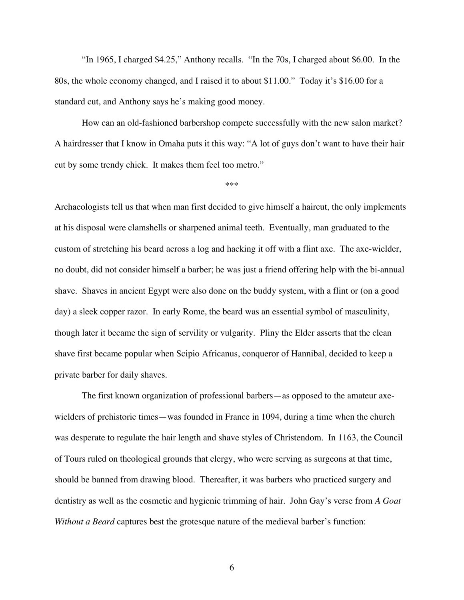"In 1965, I charged \$4.25," Anthony recalls. "In the 70s, I charged about \$6.00. In the 80s, the whole economy changed, and I raised it to about \$11.00." Today it's \$16.00 for a standard cut, and Anthony says he's making good money.

How can an old-fashioned barbershop compete successfully with the new salon market? A hairdresser that I know in Omaha puts it this way: "A lot of guys don't want to have their hair cut by some trendy chick. It makes them feel too metro."

\*\*\*

Archaeologists tell us that when man first decided to give himself a haircut, the only implements at his disposal were clamshells or sharpened animal teeth. Eventually, man graduated to the custom of stretching his beard across a log and hacking it off with a flint axe. The axe-wielder, no doubt, did not consider himself a barber; he was just a friend offering help with the bi-annual shave. Shaves in ancient Egypt were also done on the buddy system, with a flint or (on a good day) a sleek copper razor. In early Rome, the beard was an essential symbol of masculinity, though later it became the sign of servility or vulgarity. Pliny the Elder asserts that the clean shave first became popular when Scipio Africanus, conqueror of Hannibal, decided to keep a private barber for daily shaves.

The first known organization of professional barbers—as opposed to the amateur axewielders of prehistoric times—was founded in France in 1094, during a time when the church was desperate to regulate the hair length and shave styles of Christendom. In 1163, the Council of Tours ruled on theological grounds that clergy, who were serving as surgeons at that time, should be banned from drawing blood. Thereafter, it was barbers who practiced surgery and dentistry as well as the cosmetic and hygienic trimming of hair. John Gay's verse from *A Goat Without a Beard* captures best the grotesque nature of the medieval barber's function: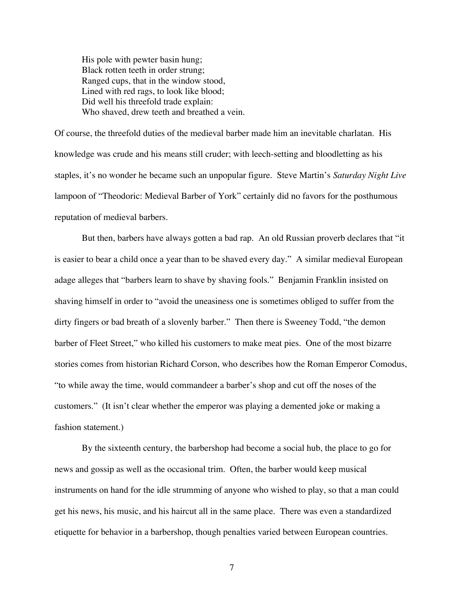His pole with pewter basin hung; Black rotten teeth in order strung; Ranged cups, that in the window stood, Lined with red rags, to look like blood; Did well his threefold trade explain: Who shaved, drew teeth and breathed a vein.

Of course, the threefold duties of the medieval barber made him an inevitable charlatan. His knowledge was crude and his means still cruder; with leech-setting and bloodletting as his staples, it's no wonder he became such an unpopular figure. Steve Martin's *Saturday Night Live* lampoon of "Theodoric: Medieval Barber of York" certainly did no favors for the posthumous reputation of medieval barbers.

But then, barbers have always gotten a bad rap. An old Russian proverb declares that "it is easier to bear a child once a year than to be shaved every day." A similar medieval European adage alleges that "barbers learn to shave by shaving fools." Benjamin Franklin insisted on shaving himself in order to "avoid the uneasiness one is sometimes obliged to suffer from the dirty fingers or bad breath of a slovenly barber." Then there is Sweeney Todd, "the demon barber of Fleet Street," who killed his customers to make meat pies. One of the most bizarre stories comes from historian Richard Corson, who describes how the Roman Emperor Comodus, "to while away the time, would commandeer a barber's shop and cut off the noses of the customers." (It isn't clear whether the emperor was playing a demented joke or making a fashion statement.)

By the sixteenth century, the barbershop had become a social hub, the place to go for news and gossip as well as the occasional trim. Often, the barber would keep musical instruments on hand for the idle strumming of anyone who wished to play, so that a man could get his news, his music, and his haircut all in the same place. There was even a standardized etiquette for behavior in a barbershop, though penalties varied between European countries.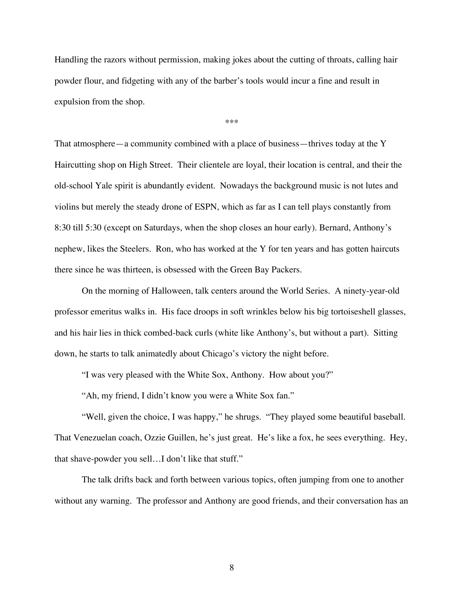Handling the razors without permission, making jokes about the cutting of throats, calling hair powder flour, and fidgeting with any of the barber's tools would incur a fine and result in expulsion from the shop.

\*\*\*

That atmosphere—a community combined with a place of business—thrives today at the Y Haircutting shop on High Street. Their clientele are loyal, their location is central, and their the old-school Yale spirit is abundantly evident. Nowadays the background music is not lutes and violins but merely the steady drone of ESPN, which as far as I can tell plays constantly from 8:30 till 5:30 (except on Saturdays, when the shop closes an hour early). Bernard, Anthony's nephew, likes the Steelers. Ron, who has worked at the Y for ten years and has gotten haircuts there since he was thirteen, is obsessed with the Green Bay Packers.

On the morning of Halloween, talk centers around the World Series. A ninety-year-old professor emeritus walks in. His face droops in soft wrinkles below his big tortoiseshell glasses, and his hair lies in thick combed-back curls (white like Anthony's, but without a part). Sitting down, he starts to talk animatedly about Chicago's victory the night before.

"I was very pleased with the White Sox, Anthony. How about you?"

"Ah, my friend, I didn't know you were a White Sox fan."

"Well, given the choice, I was happy," he shrugs. "They played some beautiful baseball. That Venezuelan coach, Ozzie Guillen, he's just great. He's like a fox, he sees everything. Hey, that shave-powder you sell…I don't like that stuff."

The talk drifts back and forth between various topics, often jumping from one to another without any warning. The professor and Anthony are good friends, and their conversation has an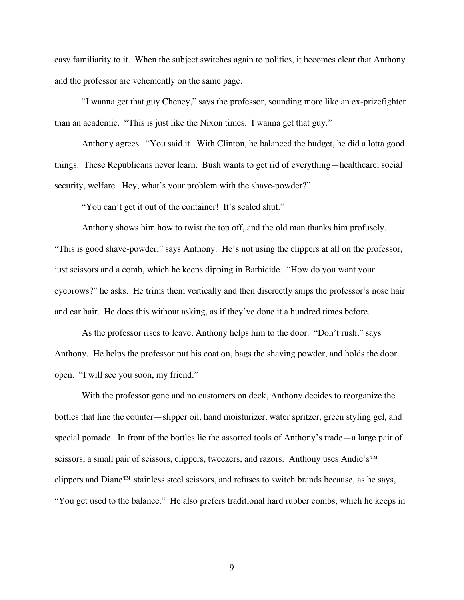easy familiarity to it. When the subject switches again to politics, it becomes clear that Anthony and the professor are vehemently on the same page.

"I wanna get that guy Cheney," says the professor, sounding more like an ex-prizefighter than an academic. "This is just like the Nixon times. I wanna get that guy."

Anthony agrees. "You said it. With Clinton, he balanced the budget, he did a lotta good things. These Republicans never learn. Bush wants to get rid of everything—healthcare, social security, welfare. Hey, what's your problem with the shave-powder?"

"You can't get it out of the container! It's sealed shut."

Anthony shows him how to twist the top off, and the old man thanks him profusely. "This is good shave-powder," says Anthony. He's not using the clippers at all on the professor, just scissors and a comb, which he keeps dipping in Barbicide. "How do you want your eyebrows?" he asks. He trims them vertically and then discreetly snips the professor's nose hair and ear hair. He does this without asking, as if they've done it a hundred times before.

As the professor rises to leave, Anthony helps him to the door. "Don't rush," says Anthony. He helps the professor put his coat on, bags the shaving powder, and holds the door open. "I will see you soon, my friend."

With the professor gone and no customers on deck, Anthony decides to reorganize the bottles that line the counter—slipper oil, hand moisturizer, water spritzer, green styling gel, and special pomade. In front of the bottles lie the assorted tools of Anthony's trade—a large pair of scissors, a small pair of scissors, clippers, tweezers, and razors. Anthony uses Andie's™ clippers and Diane™ stainless steel scissors, and refuses to switch brands because, as he says, "You get used to the balance." He also prefers traditional hard rubber combs, which he keeps in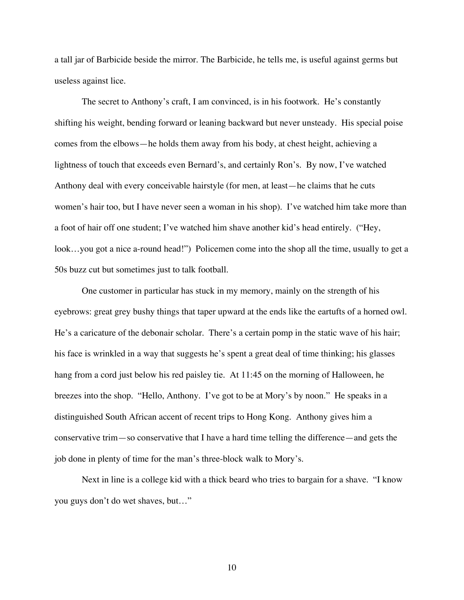a tall jar of Barbicide beside the mirror. The Barbicide, he tells me, is useful against germs but useless against lice.

The secret to Anthony's craft, I am convinced, is in his footwork. He's constantly shifting his weight, bending forward or leaning backward but never unsteady. His special poise comes from the elbows—he holds them away from his body, at chest height, achieving a lightness of touch that exceeds even Bernard's, and certainly Ron's. By now, I've watched Anthony deal with every conceivable hairstyle (for men, at least—he claims that he cuts women's hair too, but I have never seen a woman in his shop). I've watched him take more than a foot of hair off one student; I've watched him shave another kid's head entirely. ("Hey, look...you got a nice a-round head!") Policemen come into the shop all the time, usually to get a 50s buzz cut but sometimes just to talk football.

One customer in particular has stuck in my memory, mainly on the strength of his eyebrows: great grey bushy things that taper upward at the ends like the eartufts of a horned owl. He's a caricature of the debonair scholar. There's a certain pomp in the static wave of his hair; his face is wrinkled in a way that suggests he's spent a great deal of time thinking; his glasses hang from a cord just below his red paisley tie. At 11:45 on the morning of Halloween, he breezes into the shop. "Hello, Anthony. I've got to be at Mory's by noon." He speaks in a distinguished South African accent of recent trips to Hong Kong. Anthony gives him a conservative trim—so conservative that I have a hard time telling the difference—and gets the job done in plenty of time for the man's three-block walk to Mory's.

Next in line is a college kid with a thick beard who tries to bargain for a shave. "I know you guys don't do wet shaves, but…"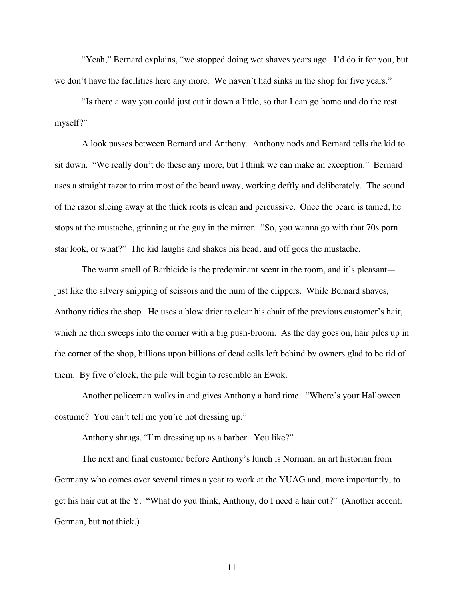"Yeah," Bernard explains, "we stopped doing wet shaves years ago. I'd do it for you, but we don't have the facilities here any more. We haven't had sinks in the shop for five years."

"Is there a way you could just cut it down a little, so that I can go home and do the rest myself?"

A look passes between Bernard and Anthony. Anthony nods and Bernard tells the kid to sit down. "We really don't do these any more, but I think we can make an exception." Bernard uses a straight razor to trim most of the beard away, working deftly and deliberately. The sound of the razor slicing away at the thick roots is clean and percussive. Once the beard is tamed, he stops at the mustache, grinning at the guy in the mirror. "So, you wanna go with that 70s porn star look, or what?" The kid laughs and shakes his head, and off goes the mustache.

The warm smell of Barbicide is the predominant scent in the room, and it's pleasant just like the silvery snipping of scissors and the hum of the clippers. While Bernard shaves, Anthony tidies the shop. He uses a blow drier to clear his chair of the previous customer's hair, which he then sweeps into the corner with a big push-broom. As the day goes on, hair piles up in the corner of the shop, billions upon billions of dead cells left behind by owners glad to be rid of them. By five o'clock, the pile will begin to resemble an Ewok.

Another policeman walks in and gives Anthony a hard time. "Where's your Halloween costume? You can't tell me you're not dressing up."

Anthony shrugs. "I'm dressing up as a barber. You like?"

The next and final customer before Anthony's lunch is Norman, an art historian from Germany who comes over several times a year to work at the YUAG and, more importantly, to get his hair cut at the Y. "What do you think, Anthony, do I need a hair cut?" (Another accent: German, but not thick.)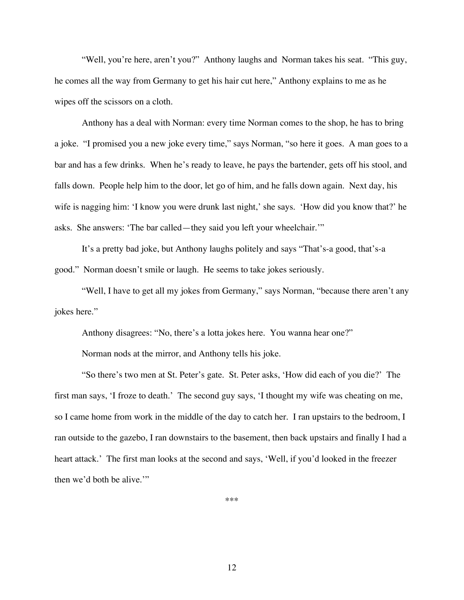"Well, you're here, aren't you?" Anthony laughs and Norman takes his seat. "This guy, he comes all the way from Germany to get his hair cut here," Anthony explains to me as he wipes off the scissors on a cloth.

Anthony has a deal with Norman: every time Norman comes to the shop, he has to bring a joke. "I promised you a new joke every time," says Norman, "so here it goes. A man goes to a bar and has a few drinks. When he's ready to leave, he pays the bartender, gets off his stool, and falls down. People help him to the door, let go of him, and he falls down again. Next day, his wife is nagging him: 'I know you were drunk last night,' she says. 'How did you know that?' he asks. She answers: 'The bar called—they said you left your wheelchair.'"

It's a pretty bad joke, but Anthony laughs politely and says "That's-a good, that's-a good." Norman doesn't smile or laugh. He seems to take jokes seriously.

"Well, I have to get all my jokes from Germany," says Norman, "because there aren't any jokes here."

Anthony disagrees: "No, there's a lotta jokes here. You wanna hear one?"

Norman nods at the mirror, and Anthony tells his joke.

"So there's two men at St. Peter's gate. St. Peter asks, 'How did each of you die?' The first man says, 'I froze to death.' The second guy says, 'I thought my wife was cheating on me, so I came home from work in the middle of the day to catch her. I ran upstairs to the bedroom, I ran outside to the gazebo, I ran downstairs to the basement, then back upstairs and finally I had a heart attack.' The first man looks at the second and says, 'Well, if you'd looked in the freezer then we'd both be alive.'"

\*\*\*